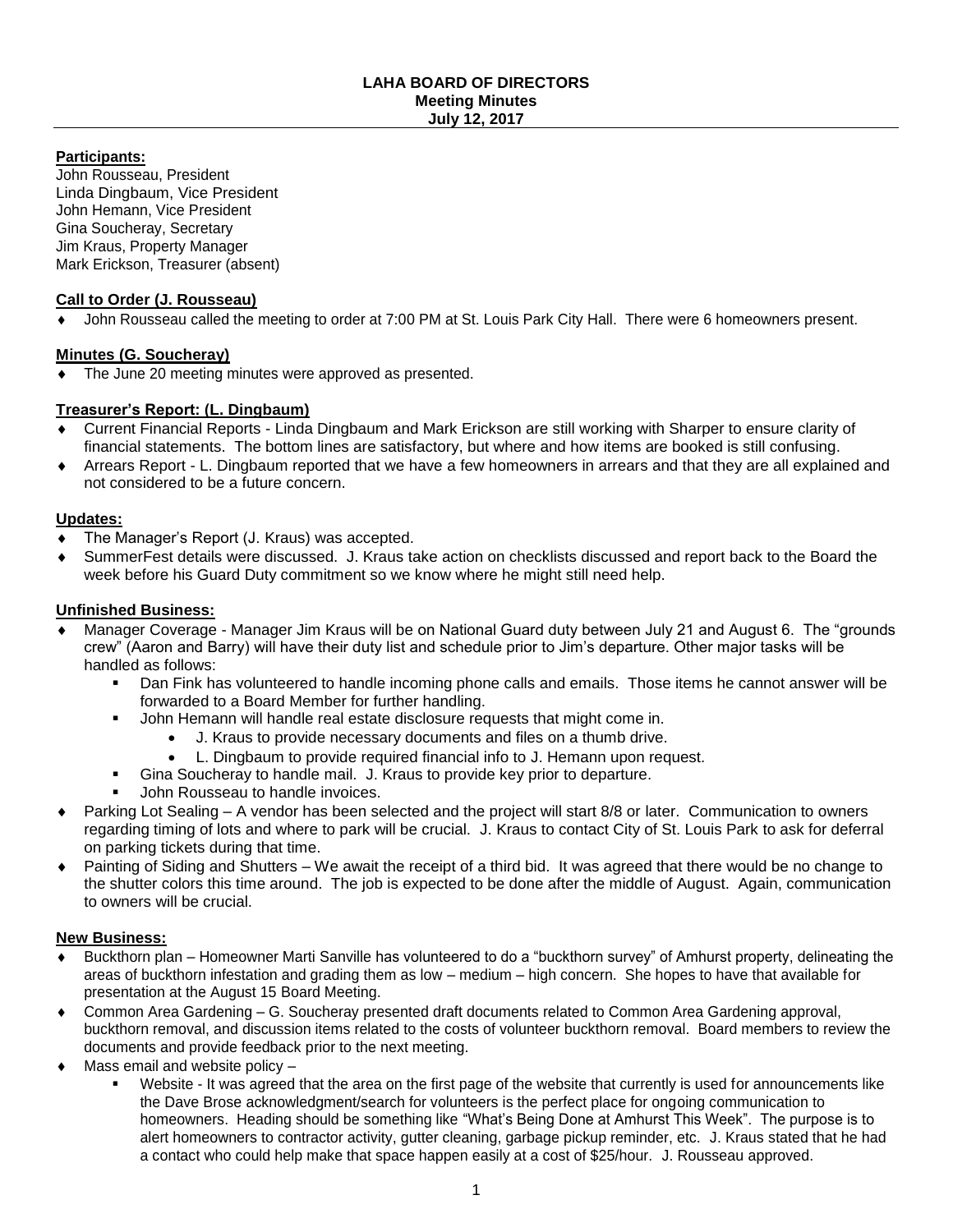#### **LAHA BOARD OF DIRECTORS Meeting Minutes July 12, 2017**

# **Participants:**

John Rousseau, President Linda Dingbaum, Vice President John Hemann, Vice President Gina Soucheray, Secretary Jim Kraus, Property Manager Mark Erickson, Treasurer (absent)

#### **Call to Order (J. Rousseau)**

John Rousseau called the meeting to order at 7:00 PM at St. Louis Park City Hall. There were 6 homeowners present.

# **Minutes (G. Soucheray)**

The June 20 meeting minutes were approved as presented.

# **Treasurer's Report: (L. Dingbaum)**

- Current Financial Reports Linda Dingbaum and Mark Erickson are still working with Sharper to ensure clarity of financial statements. The bottom lines are satisfactory, but where and how items are booked is still confusing.
- Arrears Report L. Dingbaum reported that we have a few homeowners in arrears and that they are all explained and not considered to be a future concern.

# **Updates:**

- The Manager's Report (J. Kraus) was accepted.
- SummerFest details were discussed. J. Kraus take action on checklists discussed and report back to the Board the week before his Guard Duty commitment so we know where he might still need help.

#### **Unfinished Business:**

- Manager Coverage Manager Jim Kraus will be on National Guard duty between July 21 and August 6. The "grounds crew" (Aaron and Barry) will have their duty list and schedule prior to Jim's departure. Other major tasks will be handled as follows:
	- Dan Fink has volunteered to handle incoming phone calls and emails. Those items he cannot answer will be forwarded to a Board Member for further handling.
		- John Hemann will handle real estate disclosure requests that might come in.
			- J. Kraus to provide necessary documents and files on a thumb drive.
			- L. Dingbaum to provide required financial info to J. Hemann upon request.
	- Gina Soucheray to handle mail. J. Kraus to provide key prior to departure.
	- John Rousseau to handle invoices.
- Parking Lot Sealing A vendor has been selected and the project will start 8/8 or later. Communication to owners regarding timing of lots and where to park will be crucial. J. Kraus to contact City of St. Louis Park to ask for deferral on parking tickets during that time.
- Painting of Siding and Shutters We await the receipt of a third bid. It was agreed that there would be no change to the shutter colors this time around. The job is expected to be done after the middle of August. Again, communication to owners will be crucial.

# **New Business:**

- Buckthorn plan Homeowner Marti Sanville has volunteered to do a "buckthorn survey" of Amhurst property, delineating the areas of buckthorn infestation and grading them as low – medium – high concern. She hopes to have that available for presentation at the August 15 Board Meeting.
- Common Area Gardening G. Soucheray presented draft documents related to Common Area Gardening approval, buckthorn removal, and discussion items related to the costs of volunteer buckthorn removal. Board members to review the documents and provide feedback prior to the next meeting.
- Mass email and website policy
	- Website It was agreed that the area on the first page of the website that currently is used for announcements like the Dave Brose acknowledgment/search for volunteers is the perfect place for ongoing communication to homeowners. Heading should be something like "What's Being Done at Amhurst This Week". The purpose is to alert homeowners to contractor activity, gutter cleaning, garbage pickup reminder, etc. J. Kraus stated that he had a contact who could help make that space happen easily at a cost of \$25/hour. J. Rousseau approved.